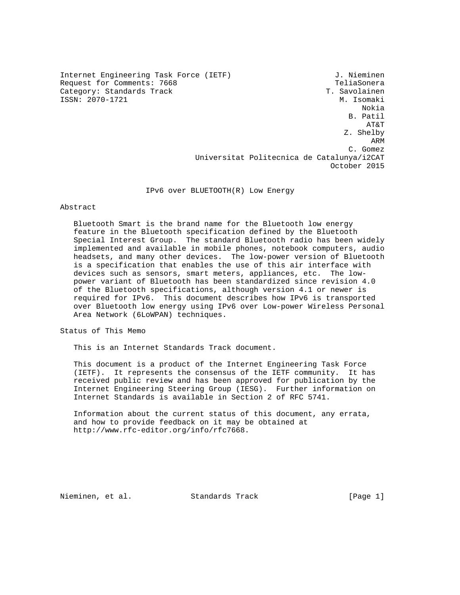Internet Engineering Task Force (IETF) 3. Nieminen Request for Comments: 7668 TeliaSonera<br>Category: Standards Track TeliaSonera T. Savolainen Category: Standards Track T. Savolainen<br>
T. Savolainen<br>
ISSN: 2070-1721 M. Isomaki ISSN: 2070-1721

 Nokia B. Patil AT&T Z. Shelby **ARM ARM ARM**  C. Gomez Universitat Politecnica de Catalunya/i2CAT October 2015

IPv6 over BLUETOOTH(R) Low Energy

# Abstract

 Bluetooth Smart is the brand name for the Bluetooth low energy feature in the Bluetooth specification defined by the Bluetooth Special Interest Group. The standard Bluetooth radio has been widely implemented and available in mobile phones, notebook computers, audio headsets, and many other devices. The low-power version of Bluetooth is a specification that enables the use of this air interface with devices such as sensors, smart meters, appliances, etc. The low power variant of Bluetooth has been standardized since revision 4.0 of the Bluetooth specifications, although version 4.1 or newer is required for IPv6. This document describes how IPv6 is transported over Bluetooth low energy using IPv6 over Low-power Wireless Personal Area Network (6LoWPAN) techniques.

Status of This Memo

This is an Internet Standards Track document.

 This document is a product of the Internet Engineering Task Force (IETF). It represents the consensus of the IETF community. It has received public review and has been approved for publication by the Internet Engineering Steering Group (IESG). Further information on Internet Standards is available in Section 2 of RFC 5741.

 Information about the current status of this document, any errata, and how to provide feedback on it may be obtained at http://www.rfc-editor.org/info/rfc7668.

Nieminen, et al. Standards Track [Page 1]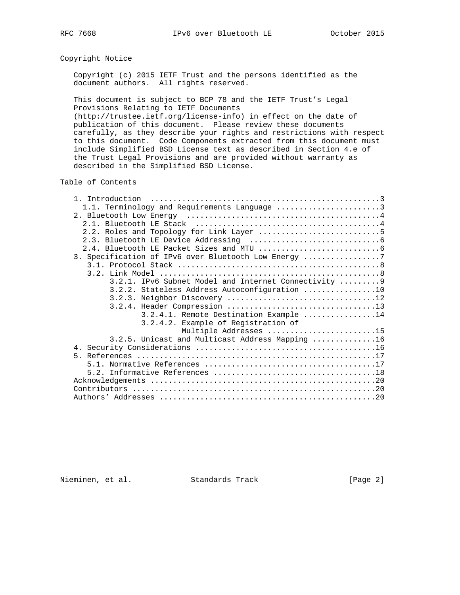# Copyright Notice

 Copyright (c) 2015 IETF Trust and the persons identified as the document authors. All rights reserved.

 This document is subject to BCP 78 and the IETF Trust's Legal Provisions Relating to IETF Documents

 (http://trustee.ietf.org/license-info) in effect on the date of publication of this document. Please review these documents carefully, as they describe your rights and restrictions with respect to this document. Code Components extracted from this document must include Simplified BSD License text as described in Section 4.e of the Trust Legal Provisions and are provided without warranty as described in the Simplified BSD License.

Table of Contents

| 1.1. Terminology and Requirements Language 3          |
|-------------------------------------------------------|
|                                                       |
|                                                       |
|                                                       |
|                                                       |
|                                                       |
| 3. Specification of IPv6 over Bluetooth Low Energy 7  |
|                                                       |
|                                                       |
| 3.2.1. IPv6 Subnet Model and Internet Connectivity  9 |
| 3.2.2. Stateless Address Autoconfiguration 10         |
| 3.2.3. Neighbor Discovery 12                          |
|                                                       |
| 3.2.4.1. Remote Destination Example 14                |
| 3.2.4.2. Example of Registration of                   |
| Multiple Addresses 15                                 |
| 3.2.5. Unicast and Multicast Address Mapping 16       |
|                                                       |
|                                                       |
|                                                       |
|                                                       |
|                                                       |
|                                                       |
|                                                       |

Nieminen, et al. Standards Track [Page 2]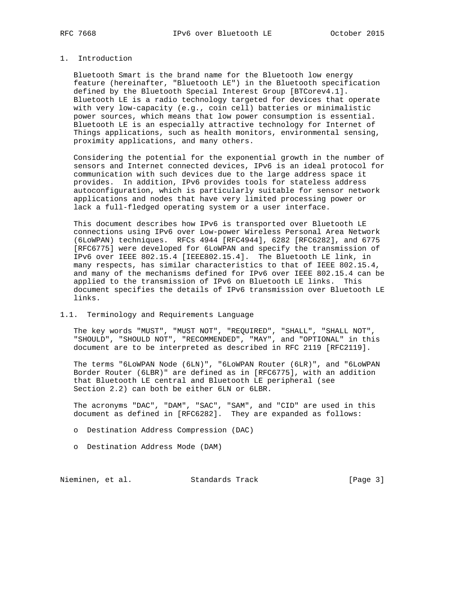# 1. Introduction

 Bluetooth Smart is the brand name for the Bluetooth low energy feature (hereinafter, "Bluetooth LE") in the Bluetooth specification defined by the Bluetooth Special Interest Group [BTCorev4.1]. Bluetooth LE is a radio technology targeted for devices that operate with very low-capacity (e.g., coin cell) batteries or minimalistic power sources, which means that low power consumption is essential. Bluetooth LE is an especially attractive technology for Internet of Things applications, such as health monitors, environmental sensing, proximity applications, and many others.

 Considering the potential for the exponential growth in the number of sensors and Internet connected devices, IPv6 is an ideal protocol for communication with such devices due to the large address space it provides. In addition, IPv6 provides tools for stateless address autoconfiguration, which is particularly suitable for sensor network applications and nodes that have very limited processing power or lack a full-fledged operating system or a user interface.

 This document describes how IPv6 is transported over Bluetooth LE connections using IPv6 over Low-power Wireless Personal Area Network (6LoWPAN) techniques. RFCs 4944 [RFC4944], 6282 [RFC6282], and 6775 [RFC6775] were developed for 6LoWPAN and specify the transmission of IPv6 over IEEE 802.15.4 [IEEE802.15.4]. The Bluetooth LE link, in many respects, has similar characteristics to that of IEEE 802.15.4, and many of the mechanisms defined for IPv6 over IEEE 802.15.4 can be applied to the transmission of IPv6 on Bluetooth LE links. This document specifies the details of IPv6 transmission over Bluetooth LE links.

#### 1.1. Terminology and Requirements Language

 The key words "MUST", "MUST NOT", "REQUIRED", "SHALL", "SHALL NOT", "SHOULD", "SHOULD NOT", "RECOMMENDED", "MAY", and "OPTIONAL" in this document are to be interpreted as described in RFC 2119 [RFC2119].

 The terms "6LoWPAN Node (6LN)", "6LoWPAN Router (6LR)", and "6LoWPAN Border Router (6LBR)" are defined as in [RFC6775], with an addition that Bluetooth LE central and Bluetooth LE peripheral (see Section 2.2) can both be either 6LN or 6LBR.

 The acronyms "DAC", "DAM", "SAC", "SAM", and "CID" are used in this document as defined in [RFC6282]. They are expanded as follows:

o Destination Address Compression (DAC)

o Destination Address Mode (DAM)

Nieminen, et al. Standards Track [Page 3]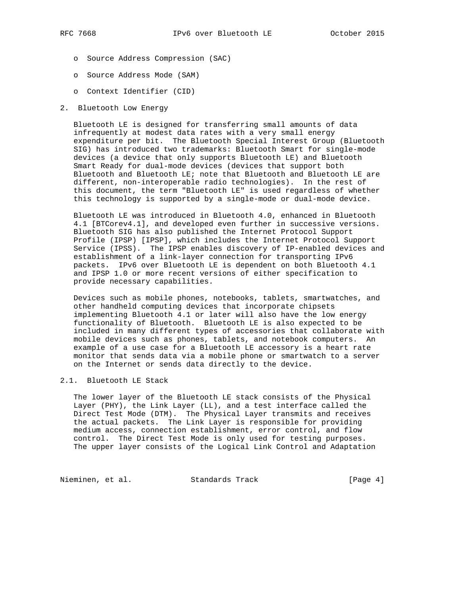- o Source Address Compression (SAC)
- o Source Address Mode (SAM)
- o Context Identifier (CID)
- 2. Bluetooth Low Energy

 Bluetooth LE is designed for transferring small amounts of data infrequently at modest data rates with a very small energy expenditure per bit. The Bluetooth Special Interest Group (Bluetooth SIG) has introduced two trademarks: Bluetooth Smart for single-mode devices (a device that only supports Bluetooth LE) and Bluetooth Smart Ready for dual-mode devices (devices that support both Bluetooth and Bluetooth LE; note that Bluetooth and Bluetooth LE are different, non-interoperable radio technologies). In the rest of this document, the term "Bluetooth LE" is used regardless of whether this technology is supported by a single-mode or dual-mode device.

 Bluetooth LE was introduced in Bluetooth 4.0, enhanced in Bluetooth 4.1 [BTCorev4.1], and developed even further in successive versions. Bluetooth SIG has also published the Internet Protocol Support Profile (IPSP) [IPSP], which includes the Internet Protocol Support Service (IPSS). The IPSP enables discovery of IP-enabled devices and establishment of a link-layer connection for transporting IPv6 packets. IPv6 over Bluetooth LE is dependent on both Bluetooth 4.1 and IPSP 1.0 or more recent versions of either specification to provide necessary capabilities.

 Devices such as mobile phones, notebooks, tablets, smartwatches, and other handheld computing devices that incorporate chipsets implementing Bluetooth 4.1 or later will also have the low energy functionality of Bluetooth. Bluetooth LE is also expected to be included in many different types of accessories that collaborate with mobile devices such as phones, tablets, and notebook computers. An example of a use case for a Bluetooth LE accessory is a heart rate monitor that sends data via a mobile phone or smartwatch to a server on the Internet or sends data directly to the device.

#### 2.1. Bluetooth LE Stack

 The lower layer of the Bluetooth LE stack consists of the Physical Layer (PHY), the Link Layer (LL), and a test interface called the Direct Test Mode (DTM). The Physical Layer transmits and receives the actual packets. The Link Layer is responsible for providing medium access, connection establishment, error control, and flow control. The Direct Test Mode is only used for testing purposes. The upper layer consists of the Logical Link Control and Adaptation

Nieminen, et al. Standards Track [Page 4]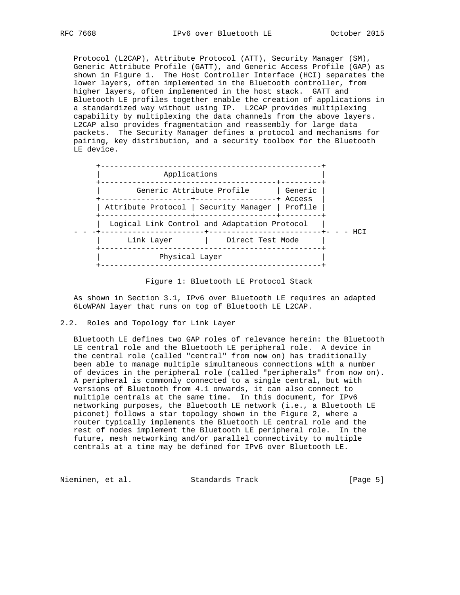Protocol (L2CAP), Attribute Protocol (ATT), Security Manager (SM), Generic Attribute Profile (GATT), and Generic Access Profile (GAP) as shown in Figure 1. The Host Controller Interface (HCI) separates the lower layers, often implemented in the Bluetooth controller, from higher layers, often implemented in the host stack. GATT and Bluetooth LE profiles together enable the creation of applications in a standardized way without using IP. L2CAP provides multiplexing capability by multiplexing the data channels from the above layers. L2CAP also provides fragmentation and reassembly for large data packets. The Security Manager defines a protocol and mechanisms for pairing, key distribution, and a security toolbox for the Bluetooth LE device.



Figure 1: Bluetooth LE Protocol Stack

 As shown in Section 3.1, IPv6 over Bluetooth LE requires an adapted 6LoWPAN layer that runs on top of Bluetooth LE L2CAP.

# 2.2. Roles and Topology for Link Layer

 Bluetooth LE defines two GAP roles of relevance herein: the Bluetooth LE central role and the Bluetooth LE peripheral role. A device in the central role (called "central" from now on) has traditionally been able to manage multiple simultaneous connections with a number of devices in the peripheral role (called "peripherals" from now on). A peripheral is commonly connected to a single central, but with versions of Bluetooth from 4.1 onwards, it can also connect to multiple centrals at the same time. In this document, for IPv6 networking purposes, the Bluetooth LE network (i.e., a Bluetooth LE piconet) follows a star topology shown in the Figure 2, where a router typically implements the Bluetooth LE central role and the rest of nodes implement the Bluetooth LE peripheral role. In the future, mesh networking and/or parallel connectivity to multiple centrals at a time may be defined for IPv6 over Bluetooth LE.

Nieminen, et al. Standards Track [Page 5]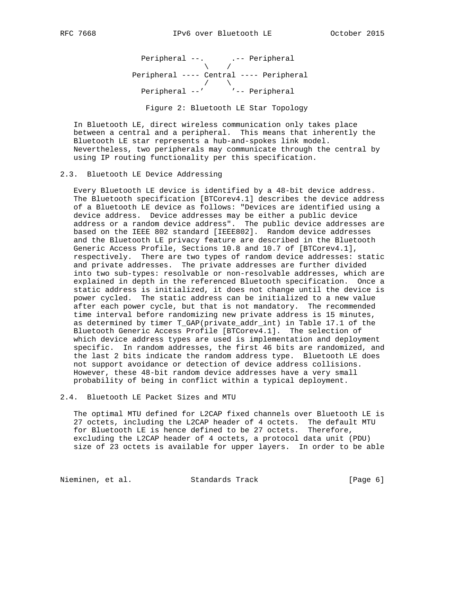Peripheral --. . .-- Peripheral  $\sqrt{2}$  /  $\sqrt{2}$  /  $\sqrt{2}$  /  $\sqrt{2}$  /  $\sqrt{2}$  /  $\sqrt{2}$  /  $\sqrt{2}$  /  $\sqrt{2}$  /  $\sqrt{2}$  /  $\sqrt{2}$  /  $\sqrt{2}$  /  $\sqrt{2}$  /  $\sqrt{2}$  /  $\sqrt{2}$  /  $\sqrt{2}$  /  $\sqrt{2}$  /  $\sqrt{2}$  /  $\sqrt{2}$  /  $\sqrt{2}$  /  $\sqrt{2}$  /  $\sqrt{2}$  /  $\sqrt{2}$  / Peripheral ---- Central ---- Peripheral  $\sqrt{2}$  Peripheral --' '-- Peripheral Figure 2: Bluetooth LE Star Topology

 In Bluetooth LE, direct wireless communication only takes place between a central and a peripheral. This means that inherently the Bluetooth LE star represents a hub-and-spokes link model. Nevertheless, two peripherals may communicate through the central by using IP routing functionality per this specification.

#### 2.3. Bluetooth LE Device Addressing

 Every Bluetooth LE device is identified by a 48-bit device address. The Bluetooth specification [BTCorev4.1] describes the device address of a Bluetooth LE device as follows: "Devices are identified using a device address. Device addresses may be either a public device address or a random device address". The public device addresses are based on the IEEE 802 standard [IEEE802]. Random device addresses and the Bluetooth LE privacy feature are described in the Bluetooth Generic Access Profile, Sections 10.8 and 10.7 of [BTCorev4.1], respectively. There are two types of random device addresses: static and private addresses. The private addresses are further divided into two sub-types: resolvable or non-resolvable addresses, which are explained in depth in the referenced Bluetooth specification. Once a static address is initialized, it does not change until the device is power cycled. The static address can be initialized to a new value after each power cycle, but that is not mandatory. The recommended time interval before randomizing new private address is 15 minutes, as determined by timer T\_GAP(private\_addr\_int) in Table 17.1 of the Bluetooth Generic Access Profile [BTCorev4.1]. The selection of which device address types are used is implementation and deployment specific. In random addresses, the first 46 bits are randomized, and the last 2 bits indicate the random address type. Bluetooth LE does not support avoidance or detection of device address collisions. However, these 48-bit random device addresses have a very small probability of being in conflict within a typical deployment.

2.4. Bluetooth LE Packet Sizes and MTU

 The optimal MTU defined for L2CAP fixed channels over Bluetooth LE is 27 octets, including the L2CAP header of 4 octets. The default MTU for Bluetooth LE is hence defined to be 27 octets. Therefore, excluding the L2CAP header of 4 octets, a protocol data unit (PDU) size of 23 octets is available for upper layers. In order to be able

Nieminen, et al. Standards Track [Page 6]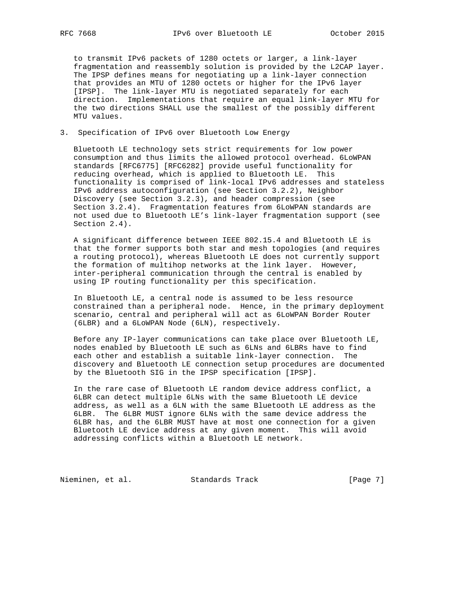to transmit IPv6 packets of 1280 octets or larger, a link-layer fragmentation and reassembly solution is provided by the L2CAP layer. The IPSP defines means for negotiating up a link-layer connection that provides an MTU of 1280 octets or higher for the IPv6 layer [IPSP]. The link-layer MTU is negotiated separately for each direction. Implementations that require an equal link-layer MTU for the two directions SHALL use the smallest of the possibly different MTU values.

# 3. Specification of IPv6 over Bluetooth Low Energy

 Bluetooth LE technology sets strict requirements for low power consumption and thus limits the allowed protocol overhead. 6LoWPAN standards [RFC6775] [RFC6282] provide useful functionality for reducing overhead, which is applied to Bluetooth LE. This functionality is comprised of link-local IPv6 addresses and stateless IPv6 address autoconfiguration (see Section 3.2.2), Neighbor Discovery (see Section 3.2.3), and header compression (see Section 3.2.4). Fragmentation features from 6LoWPAN standards are not used due to Bluetooth LE's link-layer fragmentation support (see Section 2.4).

 A significant difference between IEEE 802.15.4 and Bluetooth LE is that the former supports both star and mesh topologies (and requires a routing protocol), whereas Bluetooth LE does not currently support the formation of multihop networks at the link layer. However, inter-peripheral communication through the central is enabled by using IP routing functionality per this specification.

 In Bluetooth LE, a central node is assumed to be less resource constrained than a peripheral node. Hence, in the primary deployment scenario, central and peripheral will act as 6LoWPAN Border Router (6LBR) and a 6LoWPAN Node (6LN), respectively.

 Before any IP-layer communications can take place over Bluetooth LE, nodes enabled by Bluetooth LE such as 6LNs and 6LBRs have to find each other and establish a suitable link-layer connection. The discovery and Bluetooth LE connection setup procedures are documented by the Bluetooth SIG in the IPSP specification [IPSP].

 In the rare case of Bluetooth LE random device address conflict, a 6LBR can detect multiple 6LNs with the same Bluetooth LE device address, as well as a 6LN with the same Bluetooth LE address as the 6LBR. The 6LBR MUST ignore 6LNs with the same device address the 6LBR has, and the 6LBR MUST have at most one connection for a given Bluetooth LE device address at any given moment. This will avoid addressing conflicts within a Bluetooth LE network.

Nieminen, et al. Standards Track [Page 7]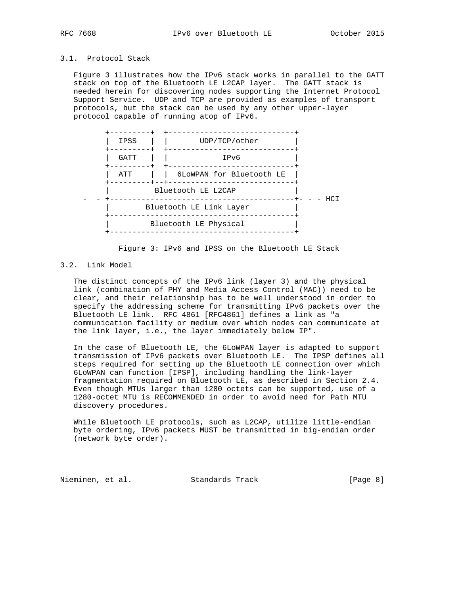# 3.1. Protocol Stack

 Figure 3 illustrates how the IPv6 stack works in parallel to the GATT stack on top of the Bluetooth LE L2CAP layer. The GATT stack is needed herein for discovering nodes supporting the Internet Protocol Support Service. UDP and TCP are provided as examples of transport protocols, but the stack can be used by any other upper-layer protocol capable of running atop of IPv6.



Figure 3: IPv6 and IPSS on the Bluetooth LE Stack

#### 3.2. Link Model

 The distinct concepts of the IPv6 link (layer 3) and the physical link (combination of PHY and Media Access Control (MAC)) need to be clear, and their relationship has to be well understood in order to specify the addressing scheme for transmitting IPv6 packets over the Bluetooth LE link. RFC 4861 [RFC4861] defines a link as "a communication facility or medium over which nodes can communicate at the link layer, i.e., the layer immediately below IP".

 In the case of Bluetooth LE, the 6LoWPAN layer is adapted to support transmission of IPv6 packets over Bluetooth LE. The IPSP defines all steps required for setting up the Bluetooth LE connection over which 6LoWPAN can function [IPSP], including handling the link-layer fragmentation required on Bluetooth LE, as described in Section 2.4. Even though MTUs larger than 1280 octets can be supported, use of a 1280-octet MTU is RECOMMENDED in order to avoid need for Path MTU discovery procedures.

 While Bluetooth LE protocols, such as L2CAP, utilize little-endian byte ordering, IPv6 packets MUST be transmitted in big-endian order (network byte order).

Nieminen, et al. Standards Track (Page 8)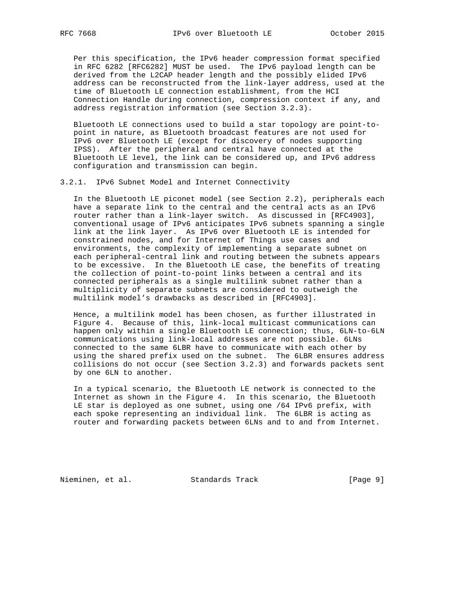Per this specification, the IPv6 header compression format specified in RFC 6282 [RFC6282] MUST be used. The IPv6 payload length can be derived from the L2CAP header length and the possibly elided IPv6 address can be reconstructed from the link-layer address, used at the time of Bluetooth LE connection establishment, from the HCI Connection Handle during connection, compression context if any, and address registration information (see Section 3.2.3).

 Bluetooth LE connections used to build a star topology are point-to point in nature, as Bluetooth broadcast features are not used for IPv6 over Bluetooth LE (except for discovery of nodes supporting IPSS). After the peripheral and central have connected at the Bluetooth LE level, the link can be considered up, and IPv6 address configuration and transmission can begin.

3.2.1. IPv6 Subnet Model and Internet Connectivity

 In the Bluetooth LE piconet model (see Section 2.2), peripherals each have a separate link to the central and the central acts as an IPv6 router rather than a link-layer switch. As discussed in [RFC4903], conventional usage of IPv6 anticipates IPv6 subnets spanning a single link at the link layer. As IPv6 over Bluetooth LE is intended for constrained nodes, and for Internet of Things use cases and environments, the complexity of implementing a separate subnet on each peripheral-central link and routing between the subnets appears to be excessive. In the Bluetooth LE case, the benefits of treating the collection of point-to-point links between a central and its connected peripherals as a single multilink subnet rather than a multiplicity of separate subnets are considered to outweigh the multilink model's drawbacks as described in [RFC4903].

 Hence, a multilink model has been chosen, as further illustrated in Figure 4. Because of this, link-local multicast communications can happen only within a single Bluetooth LE connection; thus, 6LN-to-6LN communications using link-local addresses are not possible. 6LNs connected to the same 6LBR have to communicate with each other by using the shared prefix used on the subnet. The 6LBR ensures address collisions do not occur (see Section 3.2.3) and forwards packets sent by one 6LN to another.

 In a typical scenario, the Bluetooth LE network is connected to the Internet as shown in the Figure 4. In this scenario, the Bluetooth LE star is deployed as one subnet, using one /64 IPv6 prefix, with each spoke representing an individual link. The 6LBR is acting as router and forwarding packets between 6LNs and to and from Internet.

Nieminen, et al. Standards Track [Page 9]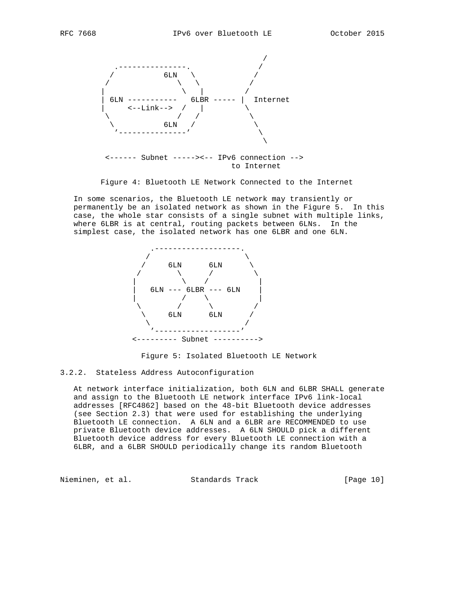

Figure 4: Bluetooth LE Network Connected to the Internet

 In some scenarios, the Bluetooth LE network may transiently or permanently be an isolated network as shown in the Figure 5. In this case, the whole star consists of a single subnet with multiple links, where 6LBR is at central, routing packets between 6LNs. In the simplest case, the isolated network has one 6LBR and one 6LN.



Figure 5: Isolated Bluetooth LE Network

# 3.2.2. Stateless Address Autoconfiguration

 At network interface initialization, both 6LN and 6LBR SHALL generate and assign to the Bluetooth LE network interface IPv6 link-local addresses [RFC4862] based on the 48-bit Bluetooth device addresses (see Section 2.3) that were used for establishing the underlying Bluetooth LE connection. A 6LN and a 6LBR are RECOMMENDED to use private Bluetooth device addresses. A 6LN SHOULD pick a different Bluetooth device address for every Bluetooth LE connection with a 6LBR, and a 6LBR SHOULD periodically change its random Bluetooth

Nieminen, et al. Standards Track [Page 10]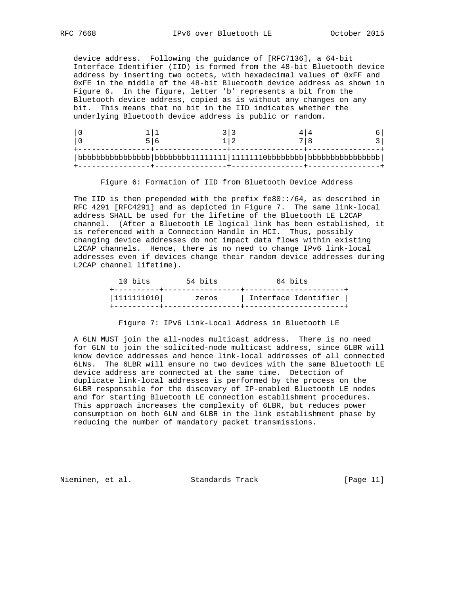device address. Following the guidance of [RFC7136], a 64-bit Interface Identifier (IID) is formed from the 48-bit Bluetooth device address by inserting two octets, with hexadecimal values of 0xFF and 0xFE in the middle of the 48-bit Bluetooth device address as shown in Figure 6. In the figure, letter 'b' represents a bit from the Bluetooth device address, copied as is without any changes on any bit. This means that no bit in the IID indicates whether the underlying Bluetooth device address is public or random.

Figure 6: Formation of IID from Bluetooth Device Address

 The IID is then prepended with the prefix fe80::/64, as described in RFC 4291 [RFC4291] and as depicted in Figure 7. The same link-local address SHALL be used for the lifetime of the Bluetooth LE L2CAP channel. (After a Bluetooth LE logical link has been established, it is referenced with a Connection Handle in HCI. Thus, possibly changing device addresses do not impact data flows within existing L2CAP channels. Hence, there is no need to change IPv6 link-local addresses even if devices change their random device addresses during L2CAP channel lifetime).

| 10 bits    | 54 bits | 64 bits              |
|------------|---------|----------------------|
| 1111111010 | zeros   | Interface Identifier |
|            |         |                      |

Figure 7: IPv6 Link-Local Address in Bluetooth LE

 A 6LN MUST join the all-nodes multicast address. There is no need for 6LN to join the solicited-node multicast address, since 6LBR will know device addresses and hence link-local addresses of all connected 6LNs. The 6LBR will ensure no two devices with the same Bluetooth LE device address are connected at the same time. Detection of duplicate link-local addresses is performed by the process on the 6LBR responsible for the discovery of IP-enabled Bluetooth LE nodes and for starting Bluetooth LE connection establishment procedures. This approach increases the complexity of 6LBR, but reduces power consumption on both 6LN and 6LBR in the link establishment phase by reducing the number of mandatory packet transmissions.

Nieminen, et al. Standards Track [Page 11]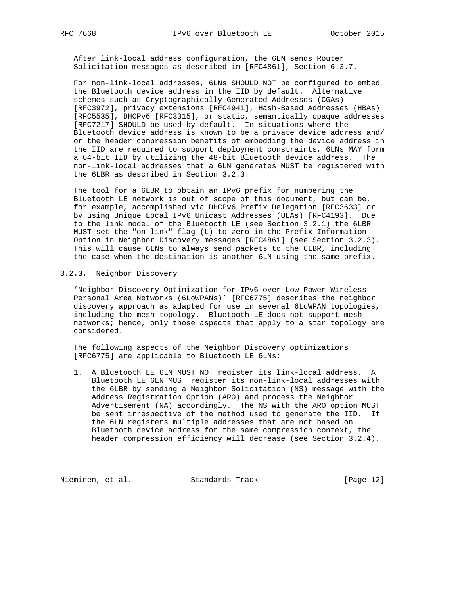After link-local address configuration, the 6LN sends Router Solicitation messages as described in [RFC4861], Section 6.3.7.

 For non-link-local addresses, 6LNs SHOULD NOT be configured to embed the Bluetooth device address in the IID by default. Alternative schemes such as Cryptographically Generated Addresses (CGAs) [RFC3972], privacy extensions [RFC4941], Hash-Based Addresses (HBAs) [RFC5535], DHCPv6 [RFC3315], or static, semantically opaque addresses [RFC7217] SHOULD be used by default. In situations where the Bluetooth device address is known to be a private device address and/ or the header compression benefits of embedding the device address in the IID are required to support deployment constraints, 6LNs MAY form a 64-bit IID by utilizing the 48-bit Bluetooth device address. The non-link-local addresses that a 6LN generates MUST be registered with the 6LBR as described in Section 3.2.3.

 The tool for a 6LBR to obtain an IPv6 prefix for numbering the Bluetooth LE network is out of scope of this document, but can be, for example, accomplished via DHCPv6 Prefix Delegation [RFC3633] or by using Unique Local IPv6 Unicast Addresses (ULAs) [RFC4193]. Due to the link model of the Bluetooth LE (see Section 3.2.1) the 6LBR MUST set the "on-link" flag (L) to zero in the Prefix Information Option in Neighbor Discovery messages [RFC4861] (see Section 3.2.3). This will cause 6LNs to always send packets to the 6LBR, including the case when the destination is another 6LN using the same prefix.

# 3.2.3. Neighbor Discovery

 'Neighbor Discovery Optimization for IPv6 over Low-Power Wireless Personal Area Networks (6LoWPANs)' [RFC6775] describes the neighbor discovery approach as adapted for use in several 6LoWPAN topologies, including the mesh topology. Bluetooth LE does not support mesh networks; hence, only those aspects that apply to a star topology are considered.

 The following aspects of the Neighbor Discovery optimizations [RFC6775] are applicable to Bluetooth LE 6LNs:

 1. A Bluetooth LE 6LN MUST NOT register its link-local address. A Bluetooth LE 6LN MUST register its non-link-local addresses with the 6LBR by sending a Neighbor Solicitation (NS) message with the Address Registration Option (ARO) and process the Neighbor Advertisement (NA) accordingly. The NS with the ARO option MUST be sent irrespective of the method used to generate the IID. If the 6LN registers multiple addresses that are not based on Bluetooth device address for the same compression context, the header compression efficiency will decrease (see Section 3.2.4).

Nieminen, et al. Standards Track [Page 12]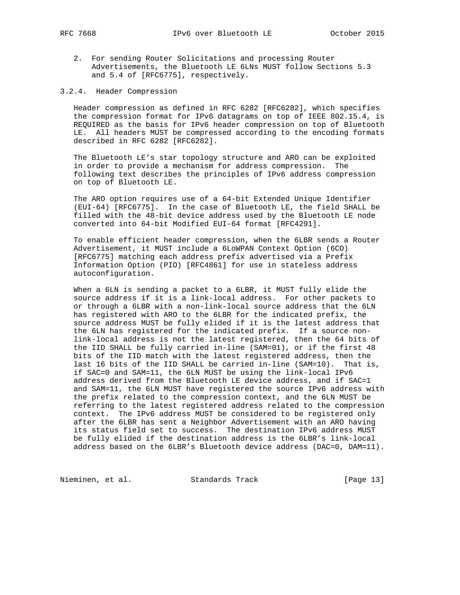- - 2. For sending Router Solicitations and processing Router Advertisements, the Bluetooth LE 6LNs MUST follow Sections 5.3 and 5.4 of [RFC6775], respectively.
- 3.2.4. Header Compression

 Header compression as defined in RFC 6282 [RFC6282], which specifies the compression format for IPv6 datagrams on top of IEEE 802.15.4, is REQUIRED as the basis for IPv6 header compression on top of Bluetooth LE. All headers MUST be compressed according to the encoding formats described in RFC 6282 [RFC6282].

 The Bluetooth LE's star topology structure and ARO can be exploited in order to provide a mechanism for address compression. The following text describes the principles of IPv6 address compression on top of Bluetooth LE.

 The ARO option requires use of a 64-bit Extended Unique Identifier (EUI-64) [RFC6775]. In the case of Bluetooth LE, the field SHALL be filled with the 48-bit device address used by the Bluetooth LE node converted into 64-bit Modified EUI-64 format [RFC4291].

 To enable efficient header compression, when the 6LBR sends a Router Advertisement, it MUST include a 6LoWPAN Context Option (6CO) [RFC6775] matching each address prefix advertised via a Prefix Information Option (PIO) [RFC4861] for use in stateless address autoconfiguration.

 When a 6LN is sending a packet to a 6LBR, it MUST fully elide the source address if it is a link-local address. For other packets to or through a 6LBR with a non-link-local source address that the 6LN has registered with ARO to the 6LBR for the indicated prefix, the source address MUST be fully elided if it is the latest address that the 6LN has registered for the indicated prefix. If a source non link-local address is not the latest registered, then the 64 bits of the IID SHALL be fully carried in-line (SAM=01), or if the first 48 bits of the IID match with the latest registered address, then the last 16 bits of the IID SHALL be carried in-line (SAM=10). That is, if SAC=0 and SAM=11, the 6LN MUST be using the link-local IPv6 address derived from the Bluetooth LE device address, and if SAC=1 and SAM=11, the 6LN MUST have registered the source IPv6 address with the prefix related to the compression context, and the 6LN MUST be referring to the latest registered address related to the compression context. The IPv6 address MUST be considered to be registered only after the 6LBR has sent a Neighbor Advertisement with an ARO having its status field set to success. The destination IPv6 address MUST be fully elided if the destination address is the 6LBR's link-local address based on the 6LBR's Bluetooth device address (DAC=0, DAM=11).

Nieminen, et al. Standards Track [Page 13]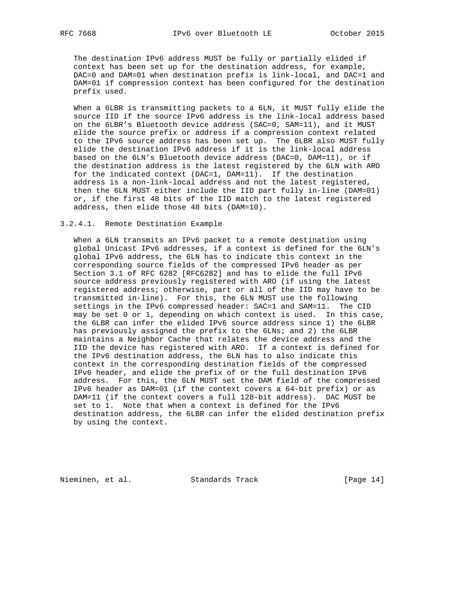The destination IPv6 address MUST be fully or partially elided if context has been set up for the destination address, for example, DAC=0 and DAM=01 when destination prefix is link-local, and DAC=1 and DAM=01 if compression context has been configured for the destination prefix used.

When a 6LBR is transmitting packets to a 6LN, it MUST fully elide the source IID if the source IPv6 address is the link-local address based on the 6LBR's Bluetooth device address (SAC=0, SAM=11), and it MUST elide the source prefix or address if a compression context related to the IPv6 source address has been set up. The 6LBR also MUST fully elide the destination IPv6 address if it is the link-local address based on the 6LN's Bluetooth device address (DAC=0, DAM=11), or if the destination address is the latest registered by the 6LN with ARO for the indicated context (DAC=1, DAM=11). If the destination address is a non-link-local address and not the latest registered, then the 6LN MUST either include the IID part fully in-line (DAM=01) or, if the first 48 bits of the IID match to the latest registered address, then elide those 48 bits (DAM=10).

#### 3.2.4.1. Remote Destination Example

 When a 6LN transmits an IPv6 packet to a remote destination using global Unicast IPv6 addresses, if a context is defined for the 6LN's global IPv6 address, the 6LN has to indicate this context in the corresponding source fields of the compressed IPv6 header as per Section 3.1 of RFC 6282 [RFC6282] and has to elide the full IPv6 source address previously registered with ARO (if using the latest registered address; otherwise, part or all of the IID may have to be transmitted in-line). For this, the 6LN MUST use the following settings in the IPv6 compressed header: SAC=1 and SAM=11. The CID may be set 0 or 1, depending on which context is used. In this case, the 6LBR can infer the elided IPv6 source address since 1) the 6LBR has previously assigned the prefix to the 6LNs; and 2) the 6LBR maintains a Neighbor Cache that relates the device address and the IID the device has registered with ARO. If a context is defined for the IPv6 destination address, the 6LN has to also indicate this context in the corresponding destination fields of the compressed IPv6 header, and elide the prefix of or the full destination IPv6 address. For this, the 6LN MUST set the DAM field of the compressed IPv6 header as DAM=01 (if the context covers a 64-bit prefix) or as DAM=11 (if the context covers a full 128-bit address). DAC MUST be set to 1. Note that when a context is defined for the IPv6 destination address, the 6LBR can infer the elided destination prefix by using the context.

Nieminen, et al. Standards Track [Page 14]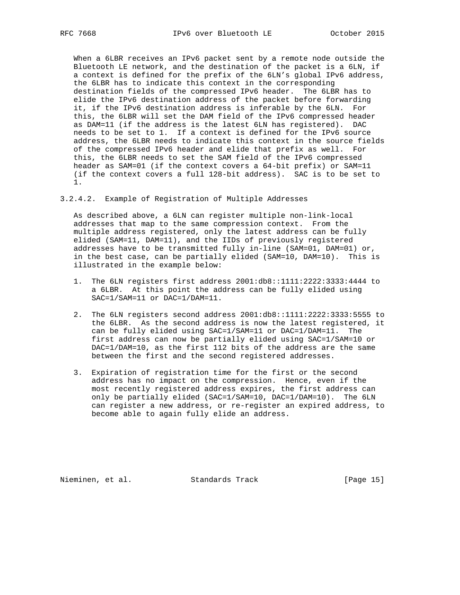When a 6LBR receives an IPv6 packet sent by a remote node outside the Bluetooth LE network, and the destination of the packet is a 6LN, if a context is defined for the prefix of the 6LN's global IPv6 address, the 6LBR has to indicate this context in the corresponding destination fields of the compressed IPv6 header. The 6LBR has to elide the IPv6 destination address of the packet before forwarding it, if the IPv6 destination address is inferable by the 6LN. For this, the 6LBR will set the DAM field of the IPv6 compressed header as DAM=11 (if the address is the latest 6LN has registered). DAC needs to be set to 1. If a context is defined for the IPv6 source address, the 6LBR needs to indicate this context in the source fields of the compressed IPv6 header and elide that prefix as well. For this, the 6LBR needs to set the SAM field of the IPv6 compressed header as SAM=01 (if the context covers a 64-bit prefix) or SAM=11 (if the context covers a full 128-bit address). SAC is to be set to 1.

3.2.4.2. Example of Registration of Multiple Addresses

 As described above, a 6LN can register multiple non-link-local addresses that map to the same compression context. From the multiple address registered, only the latest address can be fully elided (SAM=11, DAM=11), and the IIDs of previously registered addresses have to be transmitted fully in-line (SAM=01, DAM=01) or, in the best case, can be partially elided (SAM=10, DAM=10). This is illustrated in the example below:

- 1. The 6LN registers first address 2001:db8::1111:2222:3333:4444 to a 6LBR. At this point the address can be fully elided using SAC=1/SAM=11 or DAC=1/DAM=11.
- 2. The 6LN registers second address 2001:db8::1111:2222:3333:5555 to the 6LBR. As the second address is now the latest registered, it can be fully elided using SAC=1/SAM=11 or DAC=1/DAM=11. The first address can now be partially elided using SAC=1/SAM=10 or DAC=1/DAM=10, as the first 112 bits of the address are the same between the first and the second registered addresses.
- 3. Expiration of registration time for the first or the second address has no impact on the compression. Hence, even if the most recently registered address expires, the first address can only be partially elided (SAC=1/SAM=10, DAC=1/DAM=10). The 6LN can register a new address, or re-register an expired address, to become able to again fully elide an address.

Nieminen, et al. Standards Track [Page 15]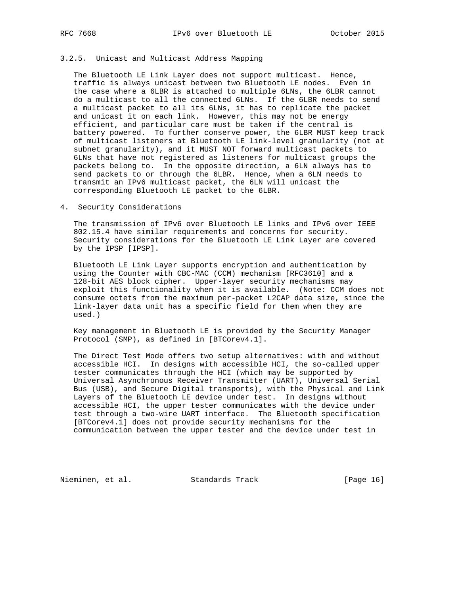#### 3.2.5. Unicast and Multicast Address Mapping

 The Bluetooth LE Link Layer does not support multicast. Hence, traffic is always unicast between two Bluetooth LE nodes. Even in the case where a 6LBR is attached to multiple 6LNs, the 6LBR cannot do a multicast to all the connected 6LNs. If the 6LBR needs to send a multicast packet to all its 6LNs, it has to replicate the packet and unicast it on each link. However, this may not be energy efficient, and particular care must be taken if the central is battery powered. To further conserve power, the 6LBR MUST keep track of multicast listeners at Bluetooth LE link-level granularity (not at subnet granularity), and it MUST NOT forward multicast packets to 6LNs that have not registered as listeners for multicast groups the packets belong to. In the opposite direction, a 6LN always has to send packets to or through the 6LBR. Hence, when a 6LN needs to transmit an IPv6 multicast packet, the 6LN will unicast the corresponding Bluetooth LE packet to the 6LBR.

#### 4. Security Considerations

 The transmission of IPv6 over Bluetooth LE links and IPv6 over IEEE 802.15.4 have similar requirements and concerns for security. Security considerations for the Bluetooth LE Link Layer are covered by the IPSP [IPSP].

 Bluetooth LE Link Layer supports encryption and authentication by using the Counter with CBC-MAC (CCM) mechanism [RFC3610] and a 128-bit AES block cipher. Upper-layer security mechanisms may exploit this functionality when it is available. (Note: CCM does not consume octets from the maximum per-packet L2CAP data size, since the link-layer data unit has a specific field for them when they are used.)

 Key management in Bluetooth LE is provided by the Security Manager Protocol (SMP), as defined in [BTCorev4.1].

 The Direct Test Mode offers two setup alternatives: with and without accessible HCI. In designs with accessible HCI, the so-called upper tester communicates through the HCI (which may be supported by Universal Asynchronous Receiver Transmitter (UART), Universal Serial Bus (USB), and Secure Digital transports), with the Physical and Link Layers of the Bluetooth LE device under test. In designs without accessible HCI, the upper tester communicates with the device under test through a two-wire UART interface. The Bluetooth specification [BTCorev4.1] does not provide security mechanisms for the communication between the upper tester and the device under test in

Nieminen, et al. Standards Track [Page 16]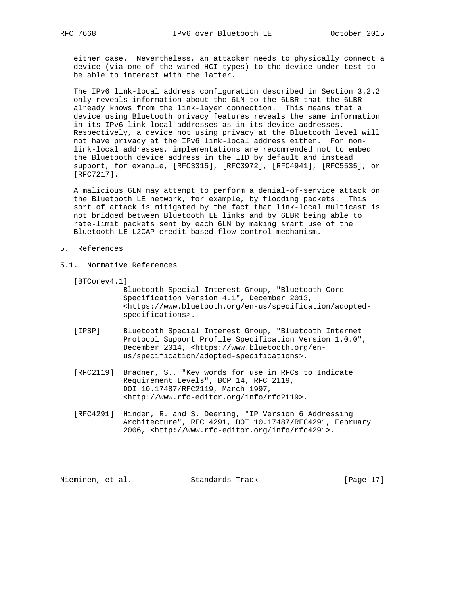either case. Nevertheless, an attacker needs to physically connect a device (via one of the wired HCI types) to the device under test to be able to interact with the latter.

 The IPv6 link-local address configuration described in Section 3.2.2 only reveals information about the 6LN to the 6LBR that the 6LBR already knows from the link-layer connection. This means that a device using Bluetooth privacy features reveals the same information in its IPv6 link-local addresses as in its device addresses. Respectively, a device not using privacy at the Bluetooth level will not have privacy at the IPv6 link-local address either. For non link-local addresses, implementations are recommended not to embed the Bluetooth device address in the IID by default and instead support, for example, [RFC3315], [RFC3972], [RFC4941], [RFC5535], or [RFC7217].

 A malicious 6LN may attempt to perform a denial-of-service attack on the Bluetooth LE network, for example, by flooding packets. This sort of attack is mitigated by the fact that link-local multicast is not bridged between Bluetooth LE links and by 6LBR being able to rate-limit packets sent by each 6LN by making smart use of the Bluetooth LE L2CAP credit-based flow-control mechanism.

- 5. References
- 5.1. Normative References

[BTCorev4.1]

 Bluetooth Special Interest Group, "Bluetooth Core Specification Version 4.1", December 2013, <https://www.bluetooth.org/en-us/specification/adopted specifications>.

- [IPSP] Bluetooth Special Interest Group, "Bluetooth Internet Protocol Support Profile Specification Version 1.0.0", December 2014, <https://www.bluetooth.org/en us/specification/adopted-specifications>.
- [RFC2119] Bradner, S., "Key words for use in RFCs to Indicate Requirement Levels", BCP 14, RFC 2119, DOI 10.17487/RFC2119, March 1997, <http://www.rfc-editor.org/info/rfc2119>.
- [RFC4291] Hinden, R. and S. Deering, "IP Version 6 Addressing Architecture", RFC 4291, DOI 10.17487/RFC4291, February 2006, <http://www.rfc-editor.org/info/rfc4291>.

Nieminen, et al. Standards Track [Page 17]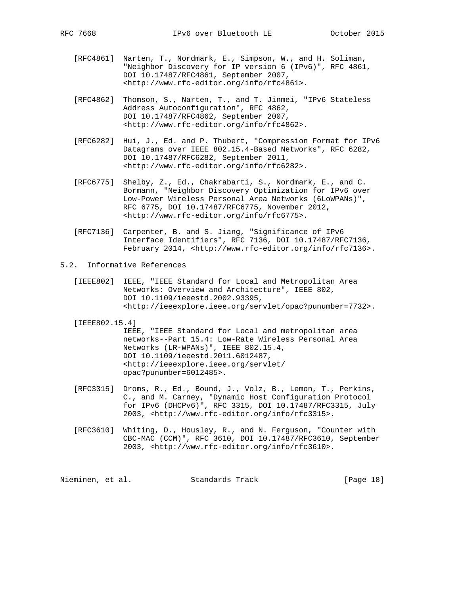- [RFC4861] Narten, T., Nordmark, E., Simpson, W., and H. Soliman, "Neighbor Discovery for IP version 6 (IPv6)", RFC 4861, DOI 10.17487/RFC4861, September 2007, <http://www.rfc-editor.org/info/rfc4861>.
- [RFC4862] Thomson, S., Narten, T., and T. Jinmei, "IPv6 Stateless Address Autoconfiguration", RFC 4862, DOI 10.17487/RFC4862, September 2007, <http://www.rfc-editor.org/info/rfc4862>.
- [RFC6282] Hui, J., Ed. and P. Thubert, "Compression Format for IPv6 Datagrams over IEEE 802.15.4-Based Networks", RFC 6282, DOI 10.17487/RFC6282, September 2011, <http://www.rfc-editor.org/info/rfc6282>.
- [RFC6775] Shelby, Z., Ed., Chakrabarti, S., Nordmark, E., and C. Bormann, "Neighbor Discovery Optimization for IPv6 over Low-Power Wireless Personal Area Networks (6LoWPANs)", RFC 6775, DOI 10.17487/RFC6775, November 2012, <http://www.rfc-editor.org/info/rfc6775>.
- [RFC7136] Carpenter, B. and S. Jiang, "Significance of IPv6 Interface Identifiers", RFC 7136, DOI 10.17487/RFC7136, February 2014, <http://www.rfc-editor.org/info/rfc7136>.
- 5.2. Informative References
	- [IEEE802] IEEE, "IEEE Standard for Local and Metropolitan Area Networks: Overview and Architecture", IEEE 802, DOI 10.1109/ieeestd.2002.93395, <http://ieeexplore.ieee.org/servlet/opac?punumber=7732>.
	- [IEEE802.15.4]

 IEEE, "IEEE Standard for Local and metropolitan area networks--Part 15.4: Low-Rate Wireless Personal Area Networks (LR-WPANs)", IEEE 802.15.4, DOI 10.1109/ieeestd.2011.6012487, <http://ieeexplore.ieee.org/servlet/ opac?punumber=6012485>.

- [RFC3315] Droms, R., Ed., Bound, J., Volz, B., Lemon, T., Perkins, C., and M. Carney, "Dynamic Host Configuration Protocol for IPv6 (DHCPv6)", RFC 3315, DOI 10.17487/RFC3315, July 2003, <http://www.rfc-editor.org/info/rfc3315>.
- [RFC3610] Whiting, D., Housley, R., and N. Ferguson, "Counter with CBC-MAC (CCM)", RFC 3610, DOI 10.17487/RFC3610, September 2003, <http://www.rfc-editor.org/info/rfc3610>.

Nieminen, et al. Standards Track [Page 18]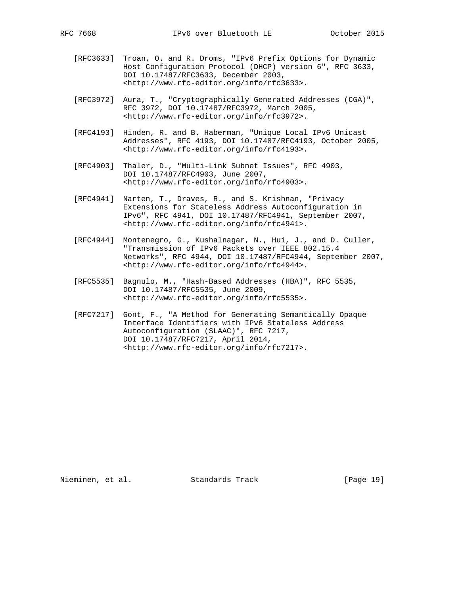- [RFC3633] Troan, O. and R. Droms, "IPv6 Prefix Options for Dynamic Host Configuration Protocol (DHCP) version 6", RFC 3633, DOI 10.17487/RFC3633, December 2003, <http://www.rfc-editor.org/info/rfc3633>.
- [RFC3972] Aura, T., "Cryptographically Generated Addresses (CGA)", RFC 3972, DOI 10.17487/RFC3972, March 2005, <http://www.rfc-editor.org/info/rfc3972>.
- [RFC4193] Hinden, R. and B. Haberman, "Unique Local IPv6 Unicast Addresses", RFC 4193, DOI 10.17487/RFC4193, October 2005, <http://www.rfc-editor.org/info/rfc4193>.
- [RFC4903] Thaler, D., "Multi-Link Subnet Issues", RFC 4903, DOI 10.17487/RFC4903, June 2007, <http://www.rfc-editor.org/info/rfc4903>.
- [RFC4941] Narten, T., Draves, R., and S. Krishnan, "Privacy Extensions for Stateless Address Autoconfiguration in IPv6", RFC 4941, DOI 10.17487/RFC4941, September 2007, <http://www.rfc-editor.org/info/rfc4941>.
- [RFC4944] Montenegro, G., Kushalnagar, N., Hui, J., and D. Culler, "Transmission of IPv6 Packets over IEEE 802.15.4 Networks", RFC 4944, DOI 10.17487/RFC4944, September 2007, <http://www.rfc-editor.org/info/rfc4944>.
- [RFC5535] Bagnulo, M., "Hash-Based Addresses (HBA)", RFC 5535, DOI 10.17487/RFC5535, June 2009, <http://www.rfc-editor.org/info/rfc5535>.
- [RFC7217] Gont, F., "A Method for Generating Semantically Opaque Interface Identifiers with IPv6 Stateless Address Autoconfiguration (SLAAC)", RFC 7217, DOI 10.17487/RFC7217, April 2014, <http://www.rfc-editor.org/info/rfc7217>.

Nieminen, et al. Standards Track [Page 19]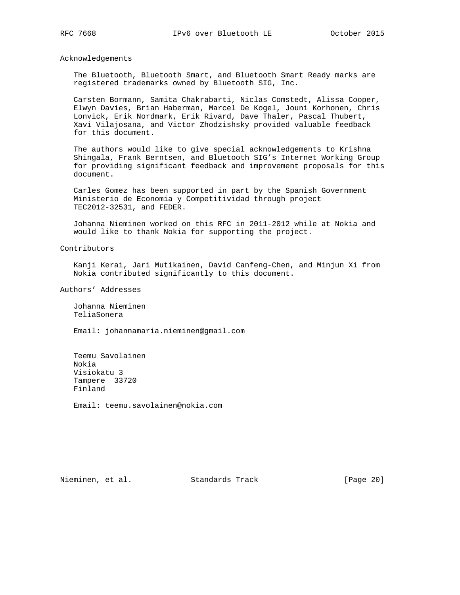Acknowledgements

 The Bluetooth, Bluetooth Smart, and Bluetooth Smart Ready marks are registered trademarks owned by Bluetooth SIG, Inc.

 Carsten Bormann, Samita Chakrabarti, Niclas Comstedt, Alissa Cooper, Elwyn Davies, Brian Haberman, Marcel De Kogel, Jouni Korhonen, Chris Lonvick, Erik Nordmark, Erik Rivard, Dave Thaler, Pascal Thubert, Xavi Vilajosana, and Victor Zhodzishsky provided valuable feedback for this document.

 The authors would like to give special acknowledgements to Krishna Shingala, Frank Berntsen, and Bluetooth SIG's Internet Working Group for providing significant feedback and improvement proposals for this document.

 Carles Gomez has been supported in part by the Spanish Government Ministerio de Economia y Competitividad through project TEC2012-32531, and FEDER.

 Johanna Nieminen worked on this RFC in 2011-2012 while at Nokia and would like to thank Nokia for supporting the project.

Contributors

 Kanji Kerai, Jari Mutikainen, David Canfeng-Chen, and Minjun Xi from Nokia contributed significantly to this document.

Authors' Addresses

 Johanna Nieminen TeliaSonera

Email: johannamaria.nieminen@gmail.com

 Teemu Savolainen Nokia Visiokatu 3 Tampere 33720 Finland

Email: teemu.savolainen@nokia.com

Nieminen, et al. Standards Track [Page 20]